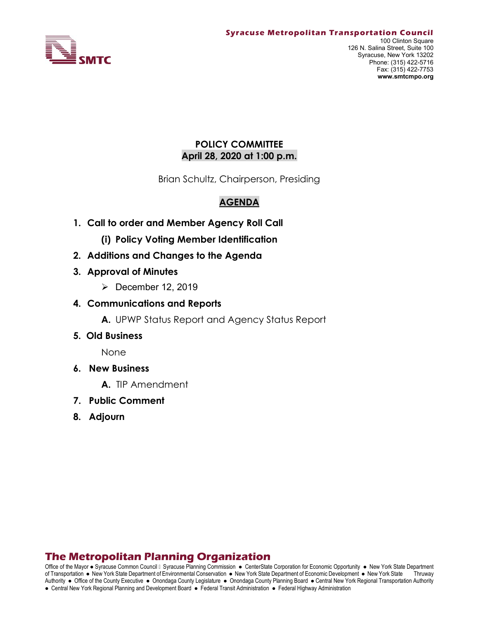

## POLICY COMMITTEE April 28, 2020 at 1:00 p.m.

Brian Schultz, Chairperson, Presiding

# AGENDA

- 1. Call to order and Member Agency Roll Call
	- (i) Policy Voting Member Identification
- 2. Additions and Changes to the Agenda
- 3. Approval of Minutes
	- $\triangleright$  December 12, 2019
- 4. Communications and Reports
	- A. UPWP Status Report and Agency Status Report
- 5. Old Business

None

- 6. New Business
	- A. TIP Amendment
- 7. Public Comment
- 8. Adjourn

# The Metropolitan Planning Organization

Office of the Mayor . Syracuse Common Council I Syracuse Planning Commission . CenterState Corporation for Economic Opportunity . New York State Department of Transportation . New York State Department of Environmental Conservation . New York State Department of Economic Development . New York State Thruway Authority . Office of the County Executive . Onondaga County Legislature . Onondaga County Planning Board . Central New York Regional Transportation Authority • Central New York Regional Planning and Development Board • Federal Transit Administration • Federal Highway Administration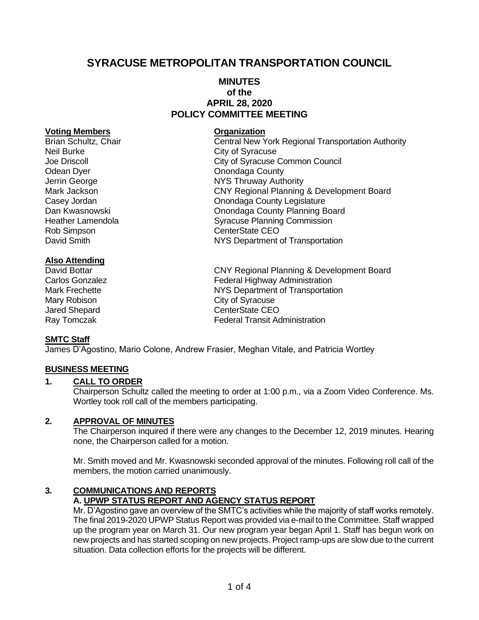# **SYRACUSE METROPOLITAN TRANSPORTATION COUNCIL**

## **MINUTES of the APRIL 28, 2020 POLICY COMMITTEE MEETING**

#### **Voting Members Organization**

Neil Burke City of Syracuse Odean Dyer Construction County Rob Simpson **CenterState CEO** 

## **Also Attending**

## **SMTC Staff**

James D'Agostino, Mario Colone, Andrew Frasier, Meghan Vitale, and Patricia Wortley

## **BUSINESS MEETING**

## **1. CALL TO ORDER**

Chairperson Schultz called the meeting to order at 1:00 p.m., via a Zoom Video Conference. Ms. Wortley took roll call of the members participating.

#### **2. APPROVAL OF MINUTES**

The Chairperson inquired if there were any changes to the December 12, 2019 minutes. Hearing none, the Chairperson called for a motion.

Mr. Smith moved and Mr. Kwasnowski seconded approval of the minutes. Following roll call of the members, the motion carried unanimously.

#### **3. COMMUNICATIONS AND REPORTS A. UPWP STATUS REPORT AND AGENCY STATUS REPORT**

Mr. D'Agostino gave an overview of the SMTC's activities while the majority of staff works remotely. The final 2019-2020 UPWP Status Report was provided via e-mail to the Committee. Staff wrapped up the program year on March 31. Our new program year began April 1. Staff has begun work on new projects and has started scoping on new projects. Project ramp-ups are slow due to the current situation. Data collection efforts for the projects will be different.

# Brian Schultz, Chair Central New York Regional Transportation Authority Joe Driscoll City of Syracuse Common Council Jerrin George **NYS Thruway Authority** Mark Jackson CNY Regional Planning & Development Board Casey Jordan Casey Jordan Casey Jordan Casey Jordan County Legislature Dan Kwasnowski **Dan Kwasnowski** Onondaga County Planning Board<br>Heather Lamendola **County Planning County Planning** Syracuse Planning Commission David Smith **NYS Department of Transportation**

David Bottar **COVID COVID COVID Planning & Development Board**<br>Carlos Gonzalez **Carlos Contracts** Federal Highway Administration Federal Highway Administration Mark Frechette **NYS Department of Transportation** Mary Robison **City of Syracuse** Jared Shepard **CenterState CEO** Ray Tomczak **Federal Transit Administration**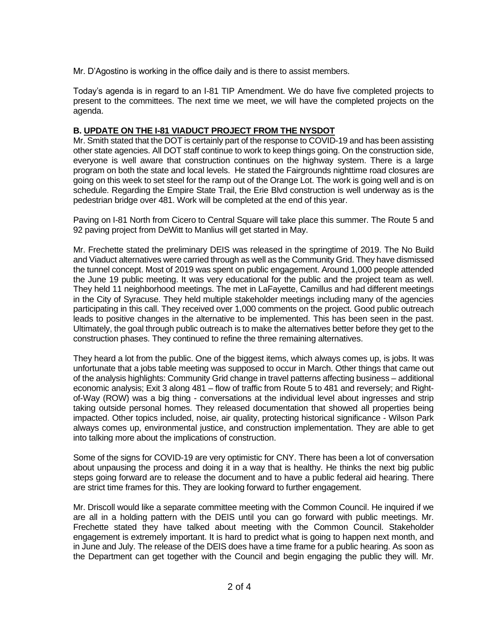Mr. D'Agostino is working in the office daily and is there to assist members.

Today's agenda is in regard to an I-81 TIP Amendment. We do have five completed projects to present to the committees. The next time we meet, we will have the completed projects on the agenda.

## **B. UPDATE ON THE I-81 VIADUCT PROJECT FROM THE NYSDOT**

Mr. Smith stated that the DOT is certainly part of the response to COVID-19 and has been assisting other state agencies. All DOT staff continue to work to keep things going. On the construction side, everyone is well aware that construction continues on the highway system. There is a large program on both the state and local levels. He stated the Fairgrounds nighttime road closures are going on this week to set steel for the ramp out of the Orange Lot. The work is going well and is on schedule. Regarding the Empire State Trail, the Erie Blvd construction is well underway as is the pedestrian bridge over 481. Work will be completed at the end of this year.

Paving on I-81 North from Cicero to Central Square will take place this summer. The Route 5 and 92 paving project from DeWitt to Manlius will get started in May.

Mr. Frechette stated the preliminary DEIS was released in the springtime of 2019. The No Build and Viaduct alternatives were carried through as well as the Community Grid. They have dismissed the tunnel concept. Most of 2019 was spent on public engagement. Around 1,000 people attended the June 19 public meeting. It was very educational for the public and the project team as well. They held 11 neighborhood meetings. The met in LaFayette, Camillus and had different meetings in the City of Syracuse. They held multiple stakeholder meetings including many of the agencies participating in this call. They received over 1,000 comments on the project. Good public outreach leads to positive changes in the alternative to be implemented. This has been seen in the past. Ultimately, the goal through public outreach is to make the alternatives better before they get to the construction phases. They continued to refine the three remaining alternatives.

They heard a lot from the public. One of the biggest items, which always comes up, is jobs. It was unfortunate that a jobs table meeting was supposed to occur in March. Other things that came out of the analysis highlights: Community Grid change in travel patterns affecting business – additional economic analysis; Exit 3 along 481 – flow of traffic from Route 5 to 481 and reversely; and Rightof-Way (ROW) was a big thing - conversations at the individual level about ingresses and strip taking outside personal homes. They released documentation that showed all properties being impacted. Other topics included, noise, air quality, protecting historical significance - Wilson Park always comes up, environmental justice, and construction implementation. They are able to get into talking more about the implications of construction.

Some of the signs for COVID-19 are very optimistic for CNY. There has been a lot of conversation about unpausing the process and doing it in a way that is healthy. He thinks the next big public steps going forward are to release the document and to have a public federal aid hearing. There are strict time frames for this. They are looking forward to further engagement.

Mr. Driscoll would like a separate committee meeting with the Common Council. He inquired if we are all in a holding pattern with the DEIS until you can go forward with public meetings. Mr. Frechette stated they have talked about meeting with the Common Council. Stakeholder engagement is extremely important. It is hard to predict what is going to happen next month, and in June and July. The release of the DEIS does have a time frame for a public hearing. As soon as the Department can get together with the Council and begin engaging the public they will. Mr.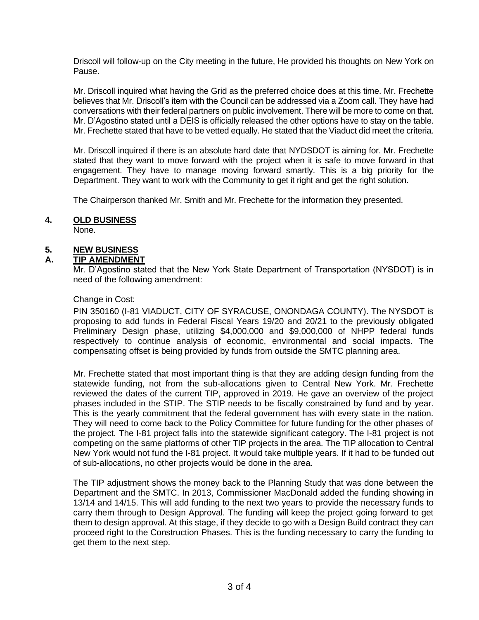Driscoll will follow-up on the City meeting in the future, He provided his thoughts on New York on Pause.

Mr. Driscoll inquired what having the Grid as the preferred choice does at this time. Mr. Frechette believes that Mr. Driscoll's item with the Council can be addressed via a Zoom call. They have had conversations with their federal partners on public involvement. There will be more to come on that. Mr. D'Agostino stated until a DEIS is officially released the other options have to stay on the table. Mr. Frechette stated that have to be vetted equally. He stated that the Viaduct did meet the criteria.

Mr. Driscoll inquired if there is an absolute hard date that NYDSDOT is aiming for. Mr. Frechette stated that they want to move forward with the project when it is safe to move forward in that engagement. They have to manage moving forward smartly. This is a big priority for the Department. They want to work with the Community to get it right and get the right solution.

The Chairperson thanked Mr. Smith and Mr. Frechette for the information they presented.

## **4. OLD BUSINESS**

None.

## **5. NEW BUSINESS**

## **A. TIP AMENDMENT**

Mr. D'Agostino stated that the New York State Department of Transportation (NYSDOT) is in need of the following amendment:

## Change in Cost:

PIN 350160 (I-81 VIADUCT, CITY OF SYRACUSE, ONONDAGA COUNTY). The NYSDOT is proposing to add funds in Federal Fiscal Years 19/20 and 20/21 to the previously obligated Preliminary Design phase, utilizing \$4,000,000 and \$9,000,000 of NHPP federal funds respectively to continue analysis of economic, environmental and social impacts. The compensating offset is being provided by funds from outside the SMTC planning area.

Mr. Frechette stated that most important thing is that they are adding design funding from the statewide funding, not from the sub-allocations given to Central New York. Mr. Frechette reviewed the dates of the current TIP, approved in 2019. He gave an overview of the project phases included in the STIP. The STIP needs to be fiscally constrained by fund and by year. This is the yearly commitment that the federal government has with every state in the nation. They will need to come back to the Policy Committee for future funding for the other phases of the project. The I-81 project falls into the statewide significant category. The I-81 project is not competing on the same platforms of other TIP projects in the area. The TIP allocation to Central New York would not fund the I-81 project. It would take multiple years. If it had to be funded out of sub-allocations, no other projects would be done in the area.

The TIP adjustment shows the money back to the Planning Study that was done between the Department and the SMTC. In 2013, Commissioner MacDonald added the funding showing in 13/14 and 14/15. This will add funding to the next two years to provide the necessary funds to carry them through to Design Approval. The funding will keep the project going forward to get them to design approval. At this stage, if they decide to go with a Design Build contract they can proceed right to the Construction Phases. This is the funding necessary to carry the funding to get them to the next step.